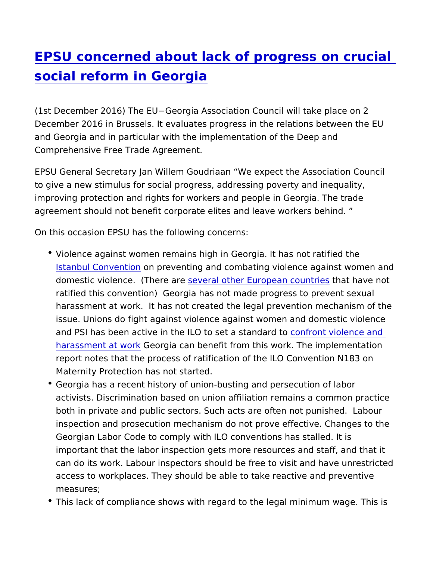## [EPSU concerned about lack of progress](https://www.epsu.org/article/epsu-concerned-about-lack-progress-crucial-social-reform-georgia) on [social reform in Ge](https://www.epsu.org/article/epsu-concerned-about-lack-progress-crucial-social-reform-georgia)orgia

(1st December 2016) The EU" Georgia Association Council will tak December 2016 in Brussels. It evaluates progress in the relations and Georgia and in particular with the implementation of the Deep Comprehensive Free Trade Agreement.

EPSU General Secretary Jan Willem Goudriaan We expect the As to give a new stimulus for social progress, addressing poverty an improving protection and rights for workers and people in Georgia agreement should not benefit corporate elites and leave workers

On this occasion EPSU has the following concerns:

- Violence against women remains high in Georgia. It has not ra [Istanbul Conv](http://www.coe.int/en/web/istanbul-convention/about-the-convention)ention eventing and combating violence against v domestic violence. (Tsheeweral eother European dbanthaeve not ratified this convention) Georgia has not made progress to pr harassment at work. It has not created the legal prevention m issue. Unions do fight against violence against women and do and PSI has been active in the ILO to south far standard to cand [harassment at](http://www.world-psi.org/en/ilo-towards-standard-against-violence-and-harassment-world-work) **Geo**rgia can benefit from this work. The implem report notes that the process of ratification of the ILO Conver Maternity Protection has not started.
- Georgia has a recent history of union-busting and persecution activists. Discrimination based on union affiliation remains a both in private and public sectors. Such acts are often not pu inspection and prosecution mechanism do not prove effective. Georgian Labor Code to comply with ILO conventions has stall important that the labor inspection gets more resources and s can do its work. Labour inspectors should be free to visit and access to workplaces. They should be able to take reactive an measures;
- This lack of compliance shows with regard to the legal minimu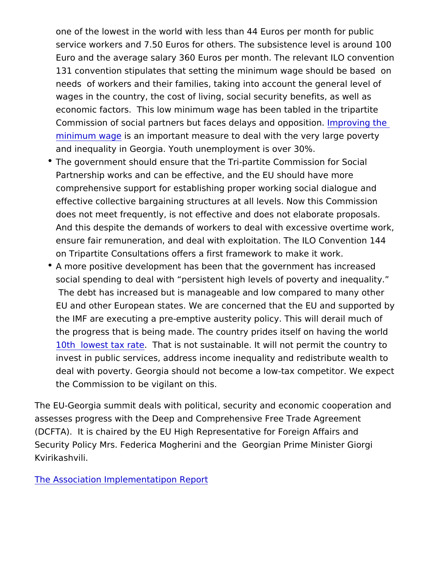one of the lowest in the world with less than 44 Euros per mon service workers and 7.50 Euros for others. The subsistence le Euro and the average salary 360 Euros per month. The relevar 131 convention stipulates that setting the minimum wage shou needs of workers and their families, taking into account the g wages in the country, the cost of living, social security benef economic factors. This low minimum wage has been tabled in Commission of social partners but faces delalyns panding ptomeition [minimum w](http://www.epsu.org/sites/default/files/article/files/Minimum wage should to be set by law_EN.pdf)agse an important measure to deal with the very large and inequality in Georgia. Youth unemployment is over 30%.

- The government should ensure that the Tri-partite Commission Partnership works and can be effective, and the EU should ha comprehensive support for establishing proper working social effective collective bargaining structures at all levels. Now th does not meet frequently, is not effective and does not elabor And this despite the demands of workers to deal with excessiv ensure fair remuneration, and deal with exploitation. The ILO on Tripartite Consultations offers a first framework to make it
- A more positive development has been that the government ha social spending to deal with persistent high levels of poverty The debt has increased but is manageable and low compared EU and other European states. We are concerned that the EU the IMF are executing a pre-emptive austerity policy. This wil the progress that is being made. The country prides itself on 10th lowest tax rantatis not sustainable. It will not permit the invest in public services, address income inequality and redis deal with poverty. Georgia should not become a low-tax compe the Commission to be vigilant on this.

The EU-Georgia summit deals with political, security and economi assesses progress with the Deep and Comprehensive Free Trade , (DCFTA). It is chaired by the EU High Representative for Foreigr Security Policy Mrs. Federica Mogherini and the Georgian Prime Kvirikashvili.

[The Association Implementat](https://eeas.europa.eu/sites/eeas/files/1_en_jswd_georgia.pdf)ipon Report